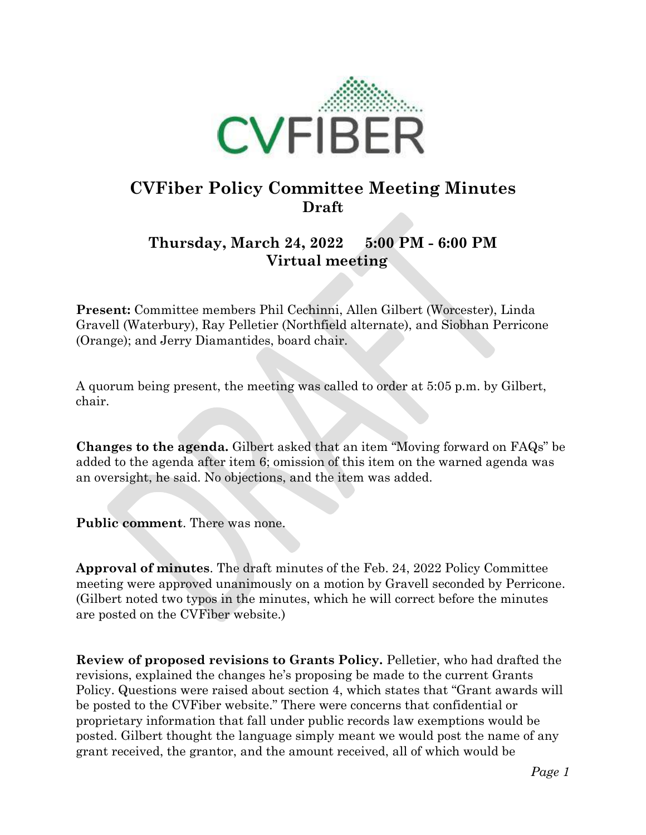

## **CVFiber Policy Committee Meeting Minutes Draft**

## **Thursday, March 24, 2022 5:00 PM - 6:00 PM Virtual meeting**

**Present:** Committee members Phil Cechinni, Allen Gilbert (Worcester), Linda Gravell (Waterbury), Ray Pelletier (Northfield alternate), and Siobhan Perricone (Orange); and Jerry Diamantides, board chair.

A quorum being present, the meeting was called to order at 5:05 p.m. by Gilbert, chair.

**Changes to the agenda.** Gilbert asked that an item "Moving forward on FAQs" be added to the agenda after item 6; omission of this item on the warned agenda was an oversight, he said. No objections, and the item was added.

**Public comment**. There was none.

**Approval of minutes**. The draft minutes of the Feb. 24, 2022 Policy Committee meeting were approved unanimously on a motion by Gravell seconded by Perricone. (Gilbert noted two typos in the minutes, which he will correct before the minutes are posted on the CVFiber website.)

**Review of proposed revisions to Grants Policy.** Pelletier, who had drafted the revisions, explained the changes he's proposing be made to the current Grants Policy. Questions were raised about section 4, which states that "Grant awards will be posted to the CVFiber website." There were concerns that confidential or proprietary information that fall under public records law exemptions would be posted. Gilbert thought the language simply meant we would post the name of any grant received, the grantor, and the amount received, all of which would be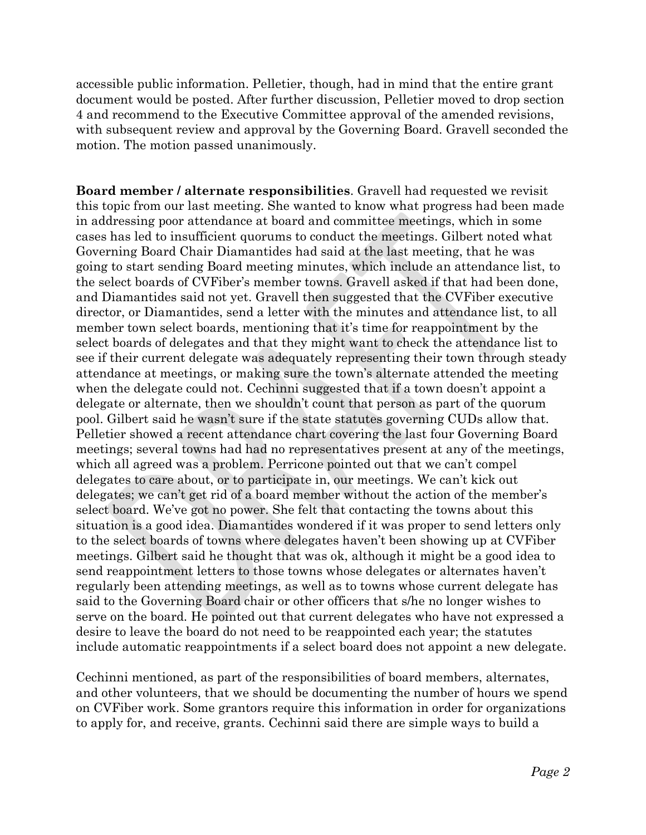accessible public information. Pelletier, though, had in mind that the entire grant document would be posted. After further discussion, Pelletier moved to drop section 4 and recommend to the Executive Committee approval of the amended revisions, with subsequent review and approval by the Governing Board. Gravell seconded the motion. The motion passed unanimously.

**Board member / alternate responsibilities**. Gravell had requested we revisit this topic from our last meeting. She wanted to know what progress had been made in addressing poor attendance at board and committee meetings, which in some cases has led to insufficient quorums to conduct the meetings. Gilbert noted what Governing Board Chair Diamantides had said at the last meeting, that he was going to start sending Board meeting minutes, which include an attendance list, to the select boards of CVFiber's member towns. Gravell asked if that had been done, and Diamantides said not yet. Gravell then suggested that the CVFiber executive director, or Diamantides, send a letter with the minutes and attendance list, to all member town select boards, mentioning that it's time for reappointment by the select boards of delegates and that they might want to check the attendance list to see if their current delegate was adequately representing their town through steady attendance at meetings, or making sure the town's alternate attended the meeting when the delegate could not. Cechinni suggested that if a town doesn't appoint a delegate or alternate, then we shouldn't count that person as part of the quorum pool. Gilbert said he wasn't sure if the state statutes governing CUDs allow that. Pelletier showed a recent attendance chart covering the last four Governing Board meetings; several towns had had no representatives present at any of the meetings, which all agreed was a problem. Perricone pointed out that we can't compel delegates to care about, or to participate in, our meetings. We can't kick out delegates; we can't get rid of a board member without the action of the member's select board. We've got no power. She felt that contacting the towns about this situation is a good idea. Diamantides wondered if it was proper to send letters only to the select boards of towns where delegates haven't been showing up at CVFiber meetings. Gilbert said he thought that was ok, although it might be a good idea to send reappointment letters to those towns whose delegates or alternates haven't regularly been attending meetings, as well as to towns whose current delegate has said to the Governing Board chair or other officers that s/he no longer wishes to serve on the board. He pointed out that current delegates who have not expressed a desire to leave the board do not need to be reappointed each year; the statutes include automatic reappointments if a select board does not appoint a new delegate.

Cechinni mentioned, as part of the responsibilities of board members, alternates, and other volunteers, that we should be documenting the number of hours we spend on CVFiber work. Some grantors require this information in order for organizations to apply for, and receive, grants. Cechinni said there are simple ways to build a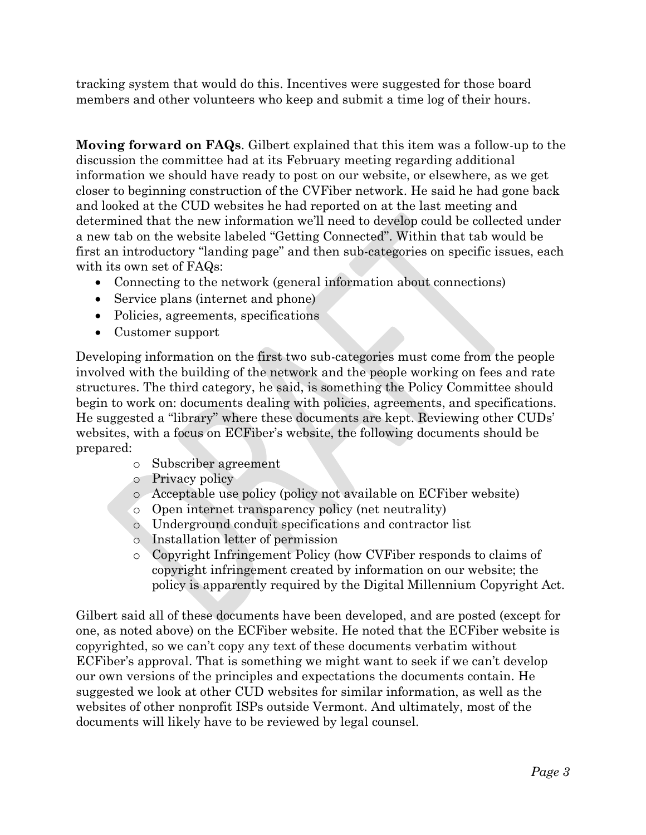tracking system that would do this. Incentives were suggested for those board members and other volunteers who keep and submit a time log of their hours.

**Moving forward on FAQs**. Gilbert explained that this item was a follow-up to the discussion the committee had at its February meeting regarding additional information we should have ready to post on our website, or elsewhere, as we get closer to beginning construction of the CVFiber network. He said he had gone back and looked at the CUD websites he had reported on at the last meeting and determined that the new information we'll need to develop could be collected under a new tab on the website labeled "Getting Connected". Within that tab would be first an introductory "landing page" and then sub-categories on specific issues, each with its own set of FAQs:

- Connecting to the network (general information about connections)
- Service plans (internet and phone)
- Policies, agreements, specifications
- Customer support

Developing information on the first two sub-categories must come from the people involved with the building of the network and the people working on fees and rate structures. The third category, he said, is something the Policy Committee should begin to work on: documents dealing with policies, agreements, and specifications. He suggested a "library" where these documents are kept. Reviewing other CUDs' websites, with a focus on ECFiber's website, the following documents should be prepared:

- o Subscriber agreement
- o Privacy policy
- o Acceptable use policy (policy not available on ECFiber website)
- o Open internet transparency policy (net neutrality)
- o Underground conduit specifications and contractor list
- o Installation letter of permission
- o Copyright Infringement Policy (how CVFiber responds to claims of copyright infringement created by information on our website; the policy is apparently required by the Digital Millennium Copyright Act.

Gilbert said all of these documents have been developed, and are posted (except for one, as noted above) on the ECFiber website. He noted that the ECFiber website is copyrighted, so we can't copy any text of these documents verbatim without ECFiber's approval. That is something we might want to seek if we can't develop our own versions of the principles and expectations the documents contain. He suggested we look at other CUD websites for similar information, as well as the websites of other nonprofit ISPs outside Vermont. And ultimately, most of the documents will likely have to be reviewed by legal counsel.